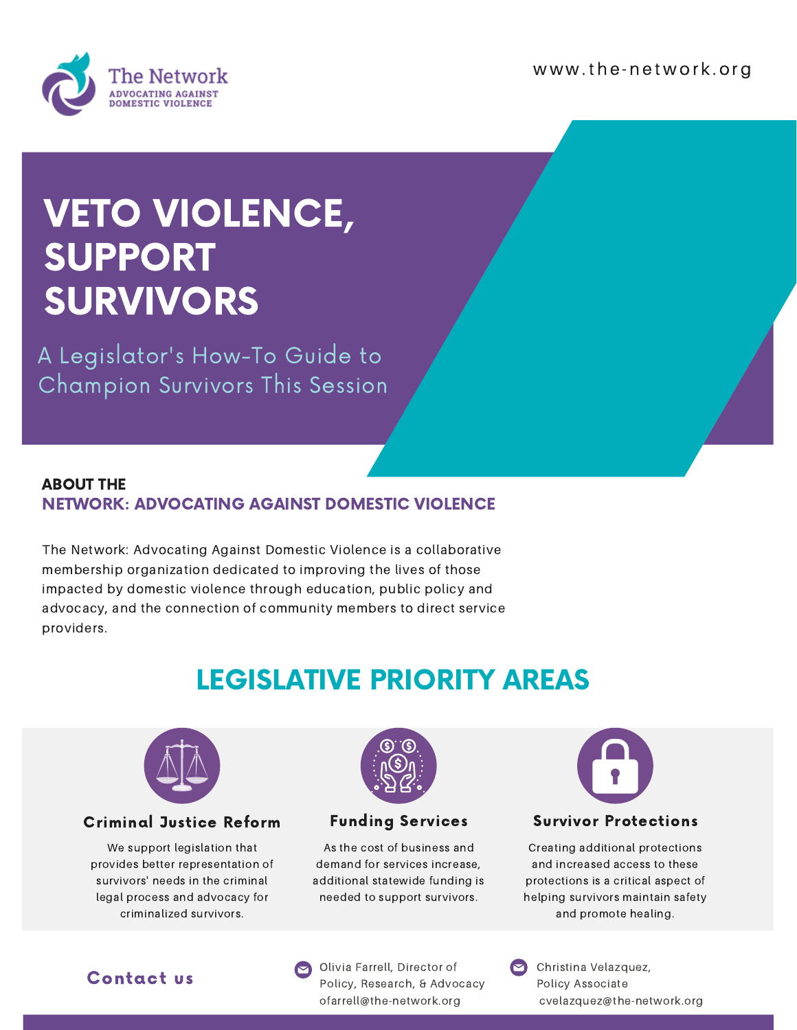www.the-network.org



## VETO VIOLENCE, SUPPORT SURVIVORS

A Legislator's How-To Guide to Champion Survivors This Session

#### ABOUT THE NETWORK: ADVOCATING AGAINST DOMESTIC VIOLENCE

The Network: Advocating Against Domestic Violence is a collaborative membership organization dedicated to improving the lives of those impacted by domestic violence through education, public policy and advocacy, and the connection of community members to direct service providers.

### LEGISLATIVE PRIORITY AREAS



#### Criminal Justice Reform

We support legislation that provides better representation of survivors' needs in the criminal legal process and advocacy for criminalized survivors.



#### Funding Services

As the cost of business and demand for services increase, additional statewide funding is needed to support survivors.



#### Survivor Protections

Creating additional protections and increased access to these protections is a critical aspect of helping survivors maintain safety and promote healing.

#### Contact us

Olivia Farrell, Director of Policy, Research, & Advocacy ofarrell@the-network.org

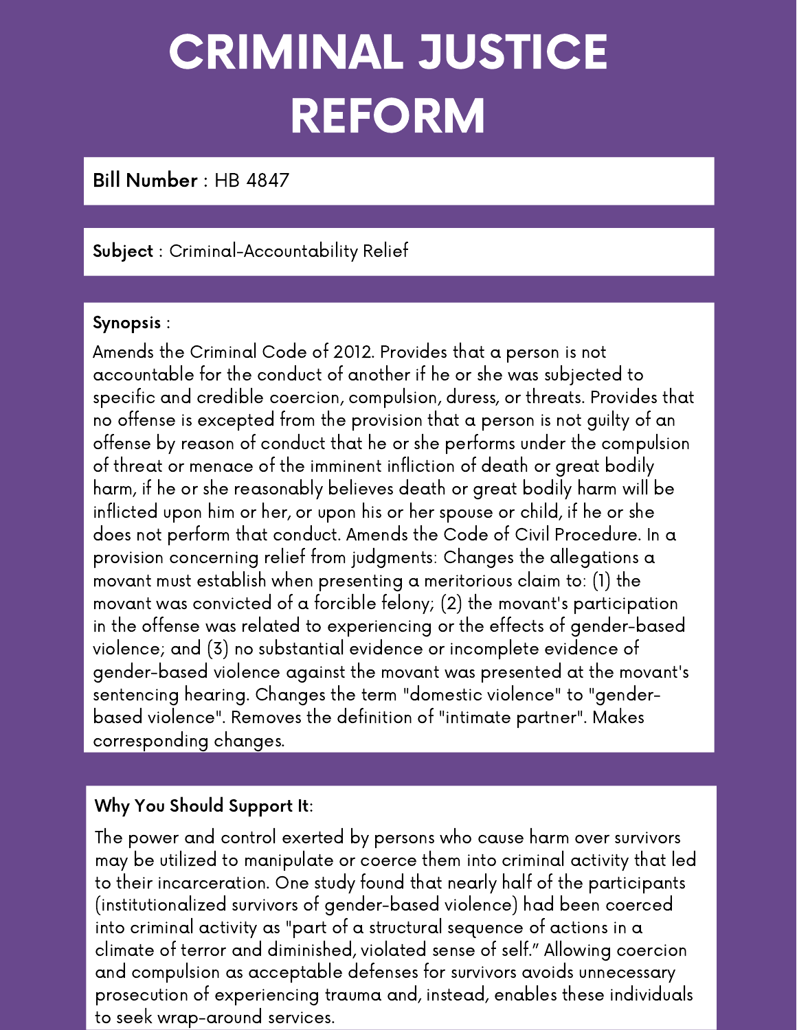# CRIMINAL JUSTICE REFORM

Bill Number : HB 4847

#### Subject : Criminal-Accountability Relief

#### Synopsis :

Amends the Criminal Code of 2012. Provides that a person is not accountable for the conduct of another if he or she was subjected to specific and credible coercion, compulsion, duress, or threats. Provides that no offense is excepted from the provision that a person is not guilty of an offense by reason of conduct that he or she performs under the compulsion of threat or menace of the imminent infliction of death or great bodily harm, if he or she reasonably believes death or great bodily harm will be inflicted upon him or her, or upon his or her spouse or child, if he or she does not perform that conduct. Amends the Code of Civil Procedure. In a provision concerning relief from judgments: Changes the allegations a movant must establish when presenting a meritorious claim to: (1) the movant was convicted of a forcible felony; (2) the movant's participation in the offense was related to experiencing or the effects of gender-based violence; and (3) no substantial evidence or incomplete evidence of gender-based violence against the movant was presented at the movant's sentencing hearing. Changes the term "domestic violence" to "genderbased violence". Removes the definition of "intimate partner". Makes corresponding changes.

#### Why You Should Support It:

The power and control exerted by persons who cause harm over survivors may be utilized to manipulate or coerce them into criminal activity that led to their incarceration. One study found that nearly half of the participants (institutionalized survivors of gender-based violence) had been coerced into criminal activity as "part of a structural sequence of actions in a climate of terror and diminished, violated sense of self." Allowing coercion and compulsion as acceptable defenses for survivors avoids unnecessary prosecution of experiencing trauma and, instead, enables these individuals to seek wrap-around services.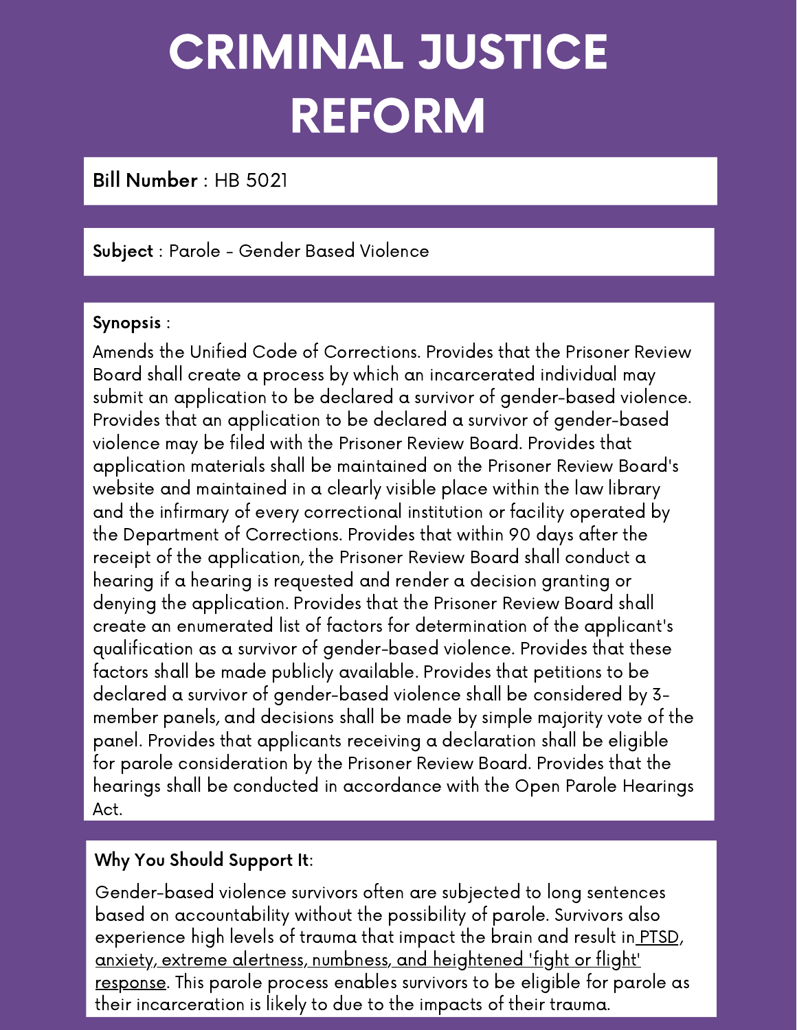# CRIMINAL JUSTICE REFORM

Bill Number : HB 5021

#### Subject : Parole - Gender Based Violence

#### Synopsis :

Amends the Unified Code of Corrections. Provides that the Prisoner Review Board shall create a process by which an incarcerated individual may submit an application to be declared a survivor of gender-based violence. Provides that an application to be declared a survivor of gender-based violence may be filed with the Prisoner Review Board. Provides that application materials shall be maintained on the Prisoner Review Board's website and maintained in a clearly visible place within the law library and the infirmary of every correctional institution or facility operated by the Department of Corrections. Provides that within 90 days after the receipt of the application, the Prisoner Review Board shall conduct a hearing if a hearing is requested and render a decision granting or denying the application. Provides that the Prisoner Review Board shall create an enumerated list of factors for determination of the applicant's qualification as a survivor of gender-based violence. Provides that these factors shall be made publicly available. Provides that petitions to be declared a survivor of gender-based violence shall be considered by 3 member panels, and decisions shall be made by simple majority vote of the panel. Provides that applicants receiving a declaration shall be eligible for parole consideration by the Prisoner Review Board. Provides that the hearings shall be conducted in accordance with the Open Parole Hearings Act.

#### Why You Should Support It:

Gender-based violence survivors often are subjected to long sentences based on accountability without the possibility of parole. Survivors also experience high levels of trauma that impact the brain and result in PTSD, anxiety, extreme alertness, [numbness,](https://www.domesticshelters.org/articles/health/how-trauma-rewires-the-brain) and heightened 'fight or flight' response. This parole process enables survivors to be eligible for parole as their incarceration is likely to due to the impacts of their trauma.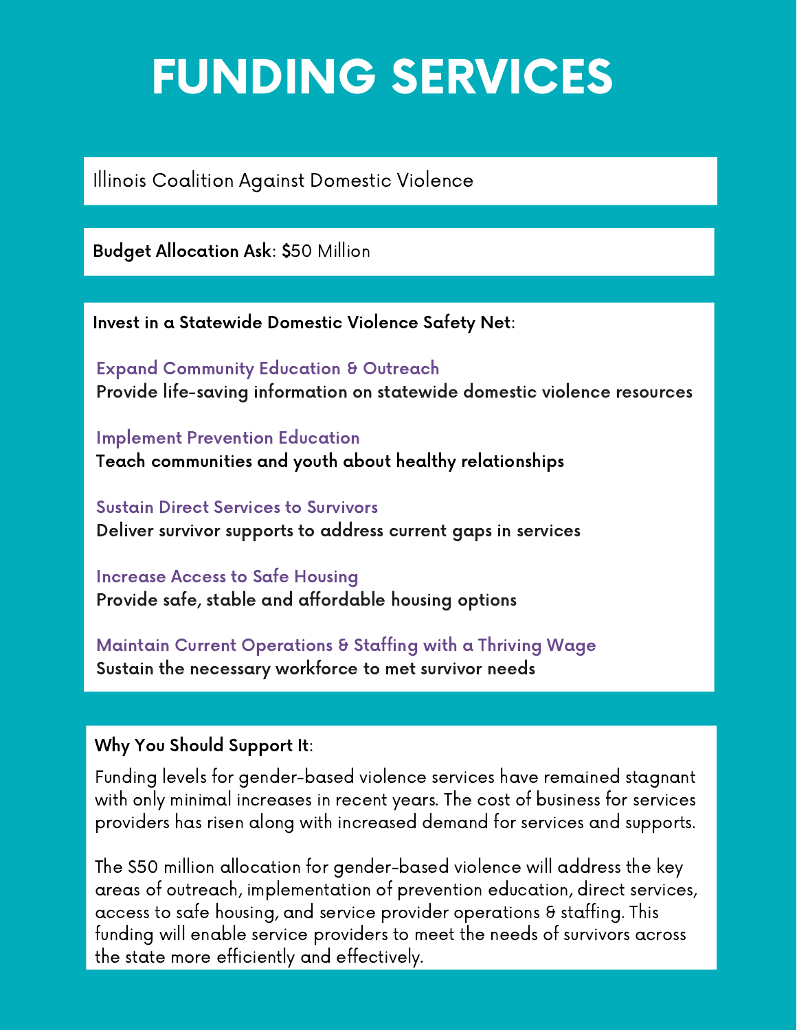## FUNDING SERVICES

Illinois Coalition Against Domestic Violence

Budget Allocation Ask: \$50 Million

Invest in a Statewide Domestic Violence Safety Net:

Expand Community Education & Outreach Provide life-saving information on statewide domestic violence resources

Implement Prevention Education Teach communities and youth about healthy relationships

Sustain Direct Services to Survivors Deliver survivor supports to address current gaps in services

Increase Access to Safe Housing Provide safe, stable and affordable housing options

Maintain Current Operations & Staffing with a Thriving Wage Sustain the necessary workforce to met survivor needs

#### Why You Should Support It:

Funding levels for gender-based violence services have remained stagnant with only minimal increases in recent years. The cost of business for services providers has risen along with increased demand for services and supports.

The \$50 million allocation for gender-based violence will address the key areas of outreach, implementation of prevention education, direct services, access to safe housing, and service provider operations & staffing. This funding will enable service providers to meet the needs of survivors across the state more efficiently and effectively.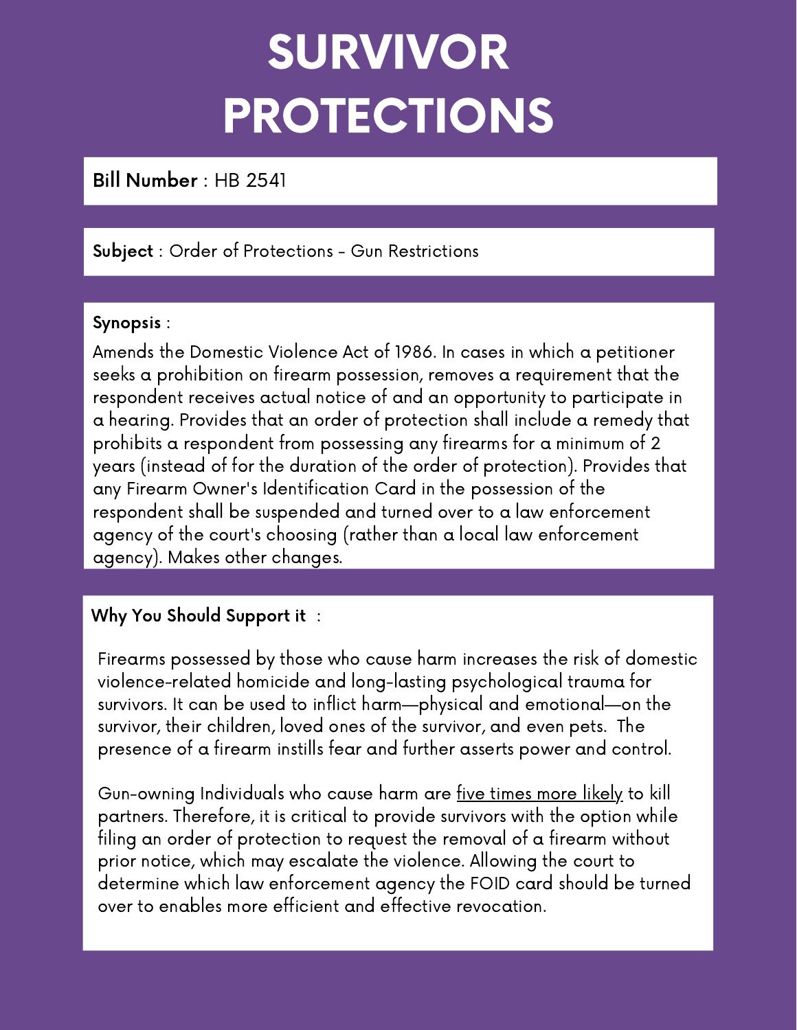# SURVIVOR PROTECTIONS

Bill Number : HB 2541

#### Subject : Order of Protections - Gun Restrictions

#### Synopsis :

Amends the Domestic Violence Act of 1986. In cases in which a petitioner seeks a prohibition on firearm possession, removes a requirement that the respondent receives actual notice of and an opportunity to participate in a hearing. Provides that an order of protection shall include a remedy that prohibits a respondent from possessing any firearms for a minimum of 2 years (instead of for the duration of the order of protection). Provides that any Firearm Owner's Identification Card in the possession of the respondent shall be suspended and turned over to a law enforcement agency of the court's choosing (rather than a local law enforcement agency). Makes other changes.

#### Why You Should Support it :

Firearms possessed by those who cause harm increases the risk of domestic violence-related homicide and long-lasting psychological trauma for survivors. It can be used to inflict harm—physical and emotional—on the survivor, their children, loved ones of the survivor, and even pets. The presence of a firearm instills fear and further asserts power and control.

Gun-owning Individuals who cause harm are five [times](https://everytownresearch.org/report/guns-and-violence-against-women-americas-uniquely-lethal-intimate-partner-violence-problem/) more likely to kill partners. Therefore, it is critical to provide survivors with the option while filing an order of protection to request the removal of a firearm without prior notice, which may escalate the violence. Allowing the court to determine which law enforcement agency the FOID card should be turned over to enables more efficient and effective revocation.